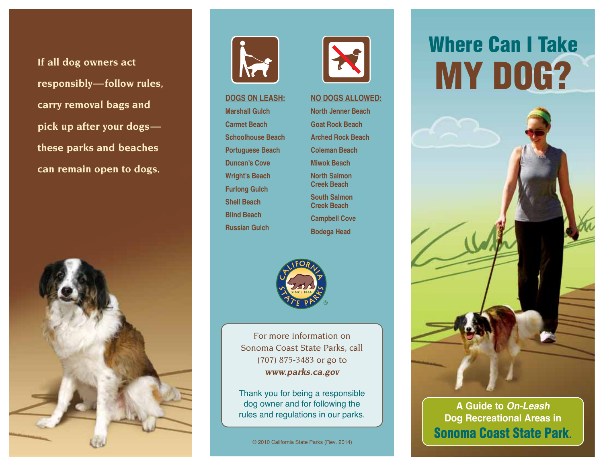**If all dog owners act responsibly—follow rules, carry removal bags and pick up after your dogs these parks and beaches can remain open to dogs.**





**Dogs on leash: Marshall gulch Carmet Beach Schoolhouse Beach Portuguese Beach Duncan's Cove Wright's Beach Furlong gulch Shell Beach Blind Beach Russian gulch**



**NO DOGS ALLOWED:** North Jenner Beach **Goat Rock Beach Arched Rock Beach Coleman Beach Miwok Beach North Salmon Creek Beach South Salmon Creek Beach Campbell Cove Bodega head**



For more information on Sonoma Coast State Parks, call (707) 875-3483 or go to **[www.parks.ca.gov](https://www.parks.ca.gov)** 

Thank you for being a responsible dog owner and for following the rules and regulations in our parks.

© 2010 California State Parks (Rev. 2014)

## Where Can I Take My Dog?



## **A Guide to On-Leash Dog Recreational Areas in**  Sonoma Coast State Park**.**